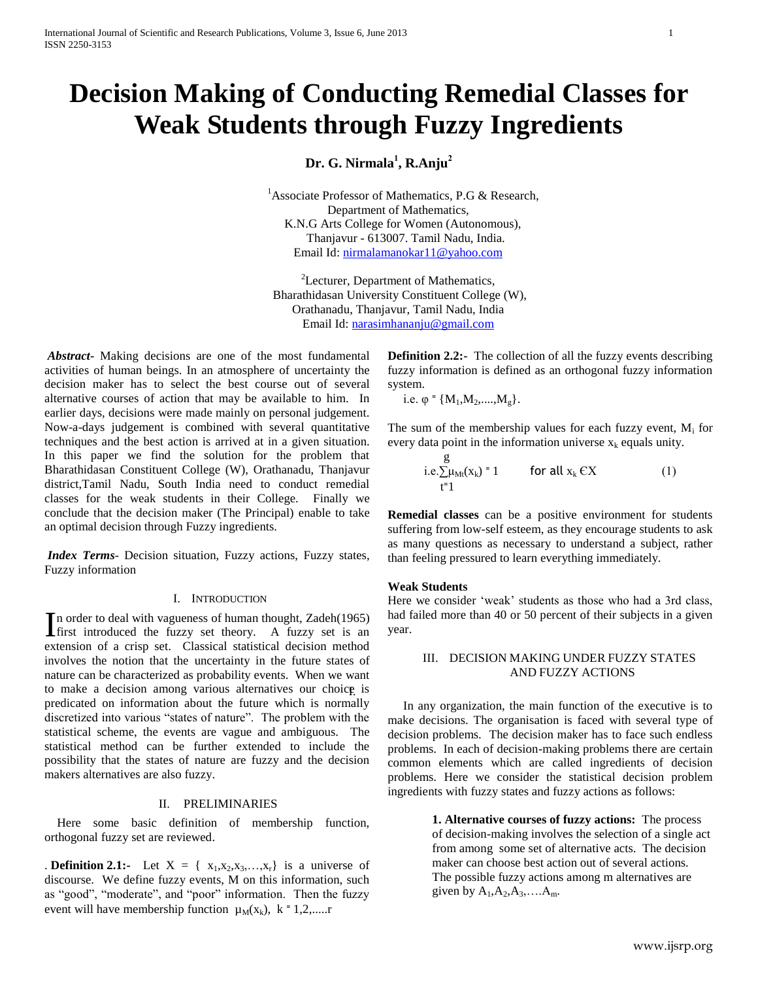# **Decision Making of Conducting Remedial Classes for Weak Students through Fuzzy Ingredients**

**Dr. G. Nirmala<sup>1</sup> , R.Anju<sup>2</sup>**

<sup>1</sup>Associate Professor of Mathematics, P.G & Research, Department of Mathematics, K.N.G Arts College for Women (Autonomous), Thanjavur - 613007. Tamil Nadu, India. Email Id: [nirmalamanokar11@yahoo.com](mailto:nirmalamanokar11@yahoo.com)

<sup>2</sup>Lecturer, Department of Mathematics, Bharathidasan University Constituent College (W), Orathanadu, Thanjavur, Tamil Nadu, India Email Id:<narasimhananju@gmail.com>

*Abstract***-** Making decisions are one of the most fundamental activities of human beings. In an atmosphere of uncertainty the decision maker has to select the best course out of several alternative courses of action that may be available to him. In earlier days, decisions were made mainly on personal judgement. Now-a-days judgement is combined with several quantitative techniques and the best action is arrived at in a given situation. In this paper we find the solution for the problem that Bharathidasan Constituent College (W), Orathanadu, Thanjavur district,Tamil Nadu, South India need to conduct remedial classes for the weak students in their College. Finally we conclude that the decision maker (The Principal) enable to take an optimal decision through Fuzzy ingredients.

*Index Terms*- Decision situation, Fuzzy actions, Fuzzy states, Fuzzy information

# I. INTRODUCTION

n order to deal with vagueness of human thought, Zadeh(1965) In order to deal with vagueness of human thought, Zadeh(1965)<br>
first introduced the fuzzy set theory. A fuzzy set is an extension of a crisp set. Classical statistical decision method involves the notion that the uncertainty in the future states of nature can be characterized as probability events. When we want to make a decision among various alternatives our choice is predicated on information about the future which is normally discretized into various "states of nature". The problem with the statistical scheme, the events are vague and ambiguous. The statistical method can be further extended to include the possibility that the states of nature are fuzzy and the decision makers alternatives are also fuzzy.

#### II. PRELIMINARIES

 Here some basic definition of membership function, orthogonal fuzzy set are reviewed.

**Definition 2.1:-** Let  $X = \{x_1, x_2, x_3, \ldots, x_r\}$  is a universe of discourse. We define fuzzy events, M on this information, such as "good", "moderate", and "poor" information. Then the fuzzy event will have membership function  $\mu_M(x_k)$ ,  $k = 1, 2, \dots$ 

**Definition 2.2:-** The collection of all the fuzzy events describing fuzzy information is defined as an orthogonal fuzzy information system.

i.e.  $\varphi$  = { $M_1, M_2, \ldots, M_g$ }.

The sum of the membership values for each fuzzy event,  $M_i$  for every data point in the information universe  $x_k$  equals unity.

$$
\begin{array}{ll}\n\text{g} & \text{for all } x_k \in X \\
\text{i=1} & \text{for all } x_k \in X\n\end{array} \n\tag{1}
$$

**Remedial classes** can be a positive environment for students suffering from low-self esteem, as they encourage students to ask as many questions as necessary to understand a subject, rather than feeling pressured to learn everything immediately.

# **Weak Students**

Here we consider 'weak' students as those who had a 3rd class, had failed more than 40 or 50 percent of their subjects in a given year.

# III. DECISION MAKING UNDER FUZZY STATES AND FUZZY ACTIONS

 In any organization, the main function of the executive is to make decisions. The organisation is faced with several type of decision problems. The decision maker has to face such endless problems. In each of decision-making problems there are certain common elements which are called ingredients of decision problems. Here we consider the statistical decision problem ingredients with fuzzy states and fuzzy actions as follows:

> **1. Alternative courses of fuzzy actions:** The process of decision-making involves the selection of a single act from among some set of alternative acts. The decision maker can choose best action out of several actions. The possible fuzzy actions among m alternatives are given by  $A_1, A_2, A_3, \ldots, A_m$ .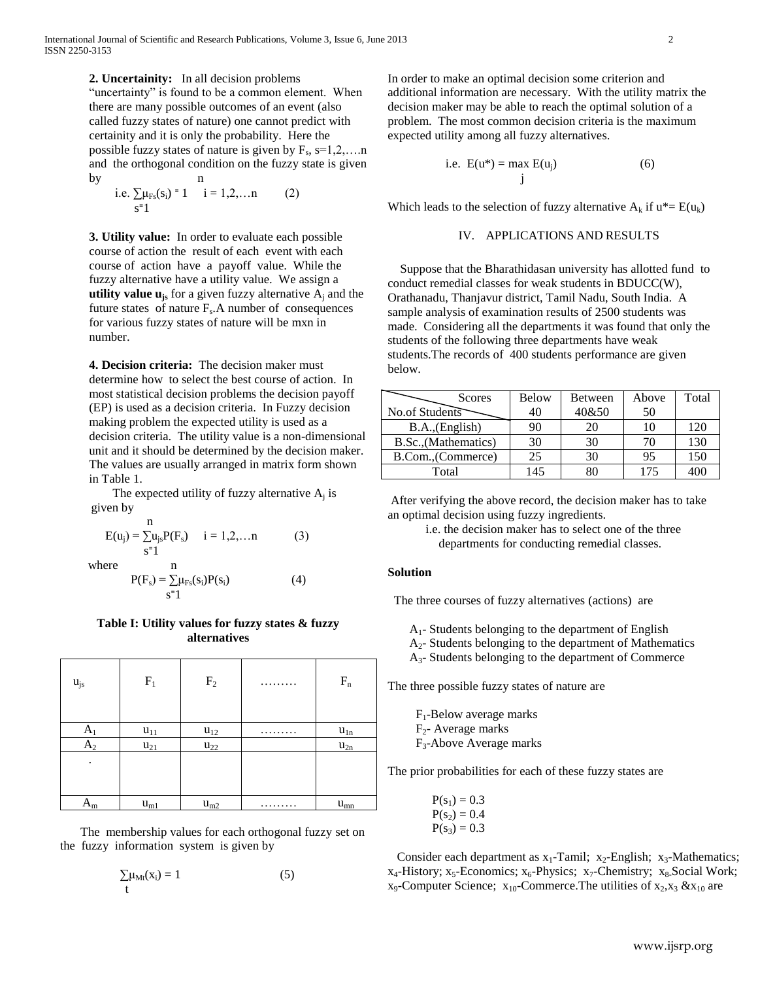**2. Uncertainity:** In all decision problems "uncertainty" is found to be a common element. When there are many possible outcomes of an event (also called fuzzy states of nature) one cannot predict with certainity and it is only the probability. Here the possible fuzzy states of nature is given by  $F_s$ ,  $s=1,2,...n$ and the orthogonal condition on the fuzzy state is given by n

i.e. 
$$
\sum_{s=1}^{\infty} \mu_{Fs}(s_i) = 1
$$
 i = 1,2,...n (2)

**3. Utility value:** In order to evaluate each possible course of action the result of each event with each course of action have a payoff value. While the fuzzy alternative have a utility value. We assign a **utility value**  $\mathbf{u}_{j}$  for a given fuzzy alternative  $A_j$  and the future states of nature  $F_s$ . A number of consequences for various fuzzy states of nature will be mxn in number.

**4. Decision criteria:** The decision maker must determine how to select the best course of action. In most statistical decision problems the decision payoff (EP) is used as a decision criteria. In Fuzzy decision making problem the expected utility is used as a decision criteria. The utility value is a non-dimensional unit and it should be determined by the decision maker. The values are usually arranged in matrix form shown in Table 1.

The expected utility of fuzzy alternative  $A_j$  is given by

$$
E(u_j) = \sum_{s=1}^{n} u_{js} P(F_s) \quad i = 1, 2, ... n \quad (3)
$$
  
where  

$$
P(F_s) = \sum_{s=1}^{n} \mu_{Fs}(s_i) P(s_i) \quad (4)
$$

## **Table I: Utility values for fuzzy states & fuzzy alternatives**

| $u_{js}$ | $\mathbf{F}_1$ | F <sub>2</sub> |   | $\mathbf{F}_{\rm n}$ |
|----------|----------------|----------------|---|----------------------|
| $A_1$    | $u_{11}$       | $u_{12}$       | . | $u_{1n}$             |
| $A_2$    | $u_{21}$       | $u_{22}$       |   | $u_{2n}$             |
| ٠        |                |                |   |                      |
| $A_m$    | $u_{m1}$       | $u_{m2}$       | . | $u_{mn}$             |

 The membership values for each orthogonal fuzzy set on the fuzzy information system is given by

$$
\sum_{t} \mu_{Mt}(x_i) = 1 \tag{5}
$$

In order to make an optimal decision some criterion and additional information are necessary. With the utility matrix the decision maker may be able to reach the optimal solution of a problem. The most common decision criteria is the maximum expected utility among all fuzzy alternatives.

i.e. 
$$
E(u^*) = max E(u_j)
$$
 (6)

Which leads to the selection of fuzzy alternative  $A_k$  if  $u^* = E(u_k)$ 

# IV. APPLICATIONS AND RESULTS

 Suppose that the Bharathidasan university has allotted fund to conduct remedial classes for weak students in BDUCC(W), Orathanadu, Thanjavur district, Tamil Nadu, South India. A sample analysis of examination results of 2500 students was made. Considering all the departments it was found that only the students of the following three departments have weak students.The records of 400 students performance are given below.

| <b>Scores</b>        | <b>Below</b> | Between | Above | Total |
|----------------------|--------------|---------|-------|-------|
| No.of Students       | 40           | 40&50   | 50    |       |
| B.A., (English)      | 90           | 20      | 10    | 120   |
| B.Sc., (Mathematics) | 30           | 30      | 70    | 130   |
| B.Com., (Commerce)   | 25           | 30      | 95    | 150   |
| Total                | 145          | 80      | 175   | 400   |

After verifying the above record, the decision maker has to take an optimal decision using fuzzy ingredients.

> i.e. the decision maker has to select one of the three departments for conducting remedial classes.

# **Solution**

The three courses of fuzzy alternatives (actions) are

 $A_1$ - Students belonging to the department of English

- $A<sub>2</sub>$  Students belonging to the department of Mathematics
- A3- Students belonging to the department of Commerce

The three possible fuzzy states of nature are

 $F_1$ -Below average marks  $F_2$ - Average marks F3-Above Average marks

The prior probabilities for each of these fuzzy states are

$$
P(s_1) = 0.3
$$
  
 
$$
P(s_2) = 0.4
$$
  
 
$$
P(s_3) = 0.3
$$

Consider each department as  $x_1$ -Tamil;  $x_2$ -English;  $x_3$ -Mathematics;  $x_4$ -History;  $x_5$ -Economics;  $x_6$ -Physics;  $x_7$ -Chemistry;  $x_8$ . Social Work;  $x_9$ -Computer Science;  $x_{10}$ -Commerce. The utilities of  $x_2, x_3 \& x_{10}$  are